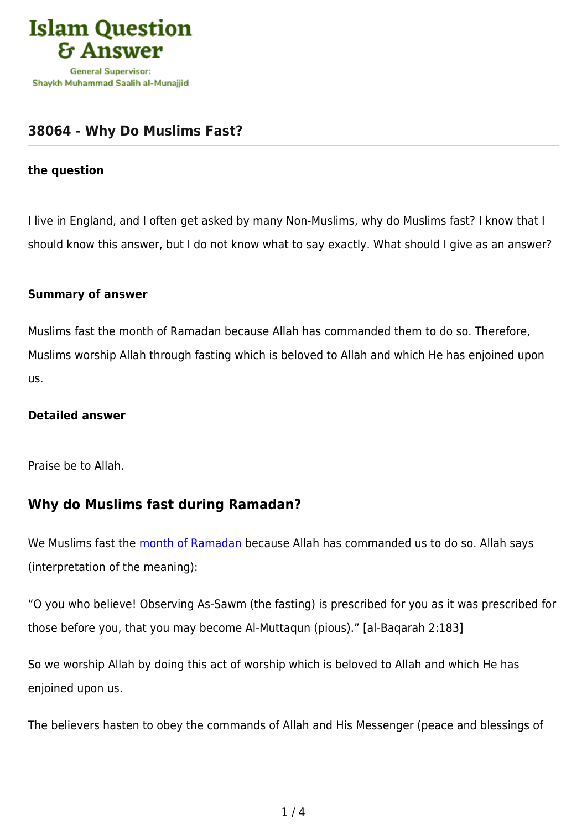

## **[38064 - Why Do Muslims Fast?](https://islamqa.info/en/answers/38064/why-do-muslims-fast)**

#### **the question**

I live in England, and I often get asked by many Non-Muslims, why do Muslims fast? I know that I should know this answer, but I do not know what to say exactly. What should I give as an answer?

#### **Summary of answer**

Muslims fast the month of Ramadan because Allah has commanded them to do so. Therefore, Muslims worship Allah through fasting which is beloved to Allah and which He has enjoined upon us.

### **Detailed answer**

Praise be to Allah.

### **Why do Muslims fast during Ramadan?**

We Muslims fast the [month of Ramadan](https://islamqa.info/en/answers/298140) because Allah has commanded us to do so. Allah says (interpretation of the meaning):

"O you who believe! Observing As-Sawm (the fasting) is prescribed for you as it was prescribed for those before you, that you may become Al-Muttaqun (pious)." [al-Baqarah 2:183]

So we worship Allah by doing this act of worship which is beloved to Allah and which He has enjoined upon us.

The believers hasten to obey the commands of Allah and His Messenger (peace and blessings of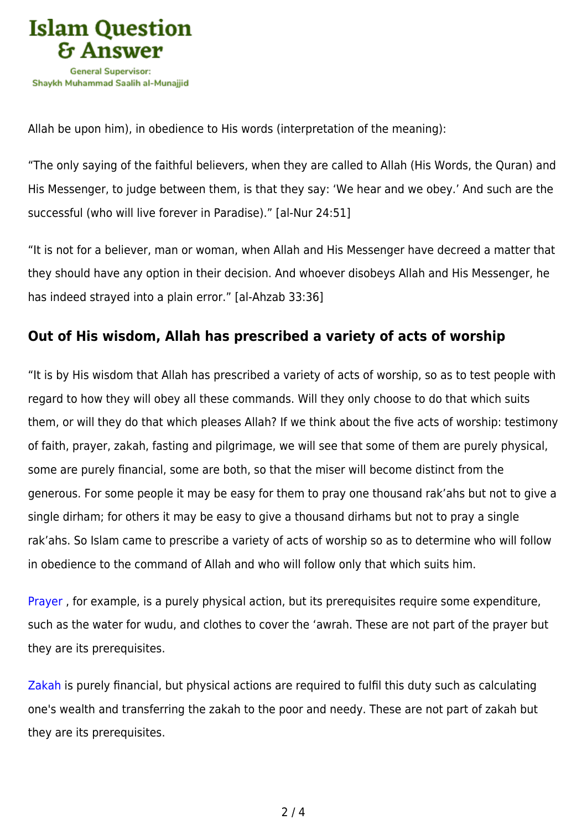

Allah be upon him), in obedience to His words (interpretation of the meaning):

"The only saying of the faithful believers, when they are called to Allah (His Words, the Quran) and His Messenger, to judge between them, is that they say: 'We hear and we obey.' And such are the successful (who will live forever in Paradise)." [al-Nur 24:51]

"It is not for a believer, man or woman, when Allah and His Messenger have decreed a matter that they should have any option in their decision. And whoever disobeys Allah and His Messenger, he has indeed strayed into a plain error." [al-Ahzab 33:36]

### **Out of His wisdom, Allah has prescribed a variety of acts of worship**

"It is by His wisdom that Allah has prescribed a variety of acts of worship, so as to test people with regard to how they will obey all these commands. Will they only choose to do that which suits them, or will they do that which pleases Allah? If we think about the five acts of worship: testimony of faith, prayer, zakah, fasting and pilgrimage, we will see that some of them are purely physical, some are purely financial, some are both, so that the miser will become distinct from the generous. For some people it may be easy for them to pray one thousand rak'ahs but not to give a single dirham; for others it may be easy to give a thousand dirhams but not to pray a single rak'ahs. So Islam came to prescribe a variety of acts of worship so as to determine who will follow in obedience to the command of Allah and who will follow only that which suits him.

[Prayer](https://islamqa.info/en/answers/12305) , for example, is a purely physical action, but its prerequisites require some expenditure, such as the water for wudu, and clothes to cover the 'awrah. These are not part of the prayer but they are its prerequisites.

[Zakah](https://islamqa.info/en/answers/43609) is purely financial, but physical actions are required to fulfil this duty such as calculating one's wealth and transferring the zakah to the poor and needy. These are not part of zakah but they are its prerequisites.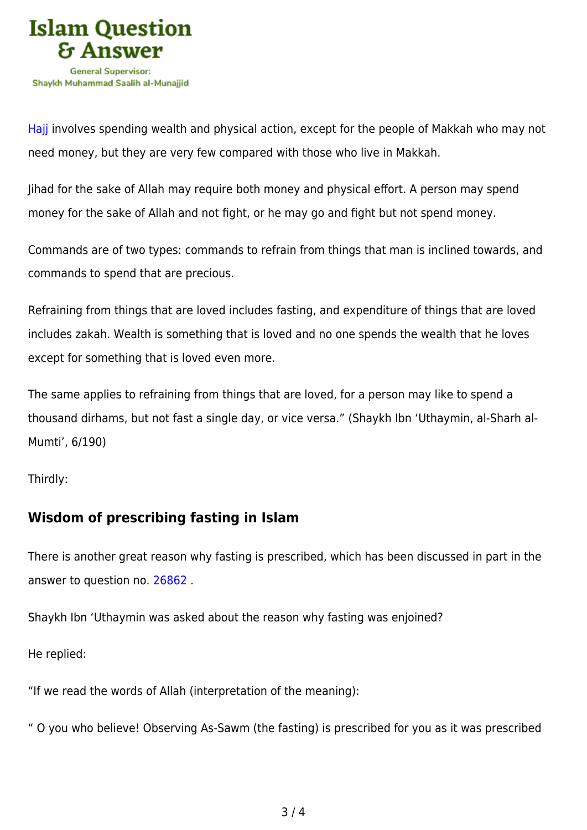

[Hajj](https://islamqa.info/en/answers/109234) involves spending wealth and physical action, except for the people of Makkah who may not need money, but they are very few compared with those who live in Makkah.

Jihad for the sake of Allah may require both money and physical effort. A person may spend money for the sake of Allah and not fight, or he may go and fight but not spend money.

Commands are of two types: commands to refrain from things that man is inclined towards, and commands to spend that are precious.

Refraining from things that are loved includes fasting, and expenditure of things that are loved includes zakah. Wealth is something that is loved and no one spends the wealth that he loves except for something that is loved even more.

The same applies to refraining from things that are loved, for a person may like to spend a thousand dirhams, but not fast a single day, or vice versa." (Shaykh Ibn 'Uthaymin, al-Sharh al-Mumti', 6/190)

Thirdly:

# **Wisdom of prescribing fasting in Islam**

There is another great reason why fasting is prescribed, which has been discussed in part in the answer to question no. [26862](https://islamqa.info/en/answers/26862) .

Shaykh Ibn 'Uthaymin was asked about the reason why fasting was enjoined?

He replied:

"If we read the words of Allah (interpretation of the meaning):

" O you who believe! Observing As-Sawm (the fasting) is prescribed for you as it was prescribed